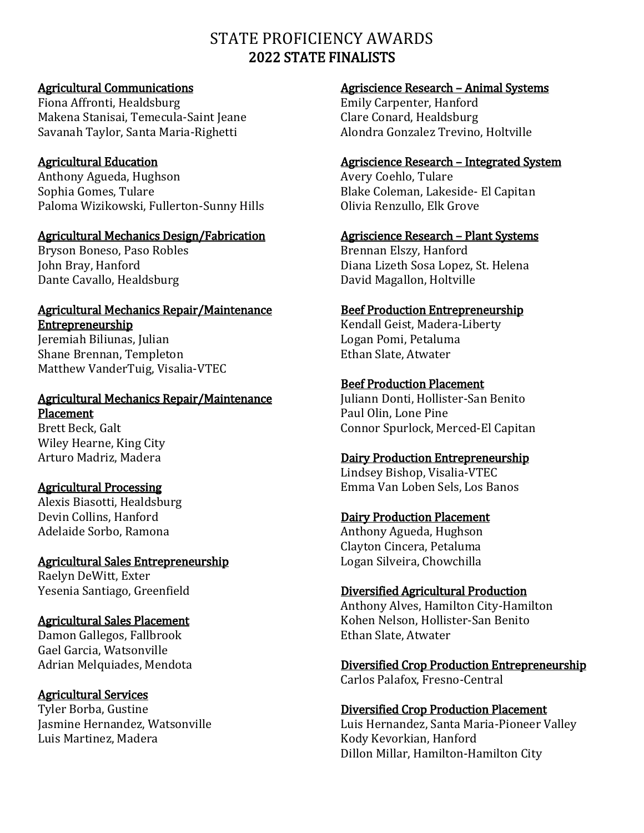# STATE PROFICIENCY AWARDS 2022 STATE FINALISTS

# Agricultural Communications

Fiona Affronti, Healdsburg Makena Stanisai, Temecula-Saint Jeane Savanah Taylor, Santa Maria-Righetti

# Agricultural Education

Anthony Agueda, Hughson Sophia Gomes, Tulare Paloma Wizikowski, Fullerton-Sunny Hills

# Agricultural Mechanics Design/Fabrication

Bryson Boneso, Paso Robles John Bray, Hanford Dante Cavallo, Healdsburg

#### Agricultural Mechanics Repair/Maintenance **Entrepreneurship**

Jeremiah Biliunas, Julian Shane Brennan, Templeton Matthew VanderTuig, Visalia-VTEC

#### Agricultural Mechanics Repair/Maintenance Placement

Brett Beck, Galt Wiley Hearne, King City Arturo Madriz, Madera

# Agricultural Processing

Alexis Biasotti, Healdsburg Devin Collins, Hanford Adelaide Sorbo, Ramona

# Agricultural Sales Entrepreneurship Raelyn DeWitt, Exter

Yesenia Santiago, Greenfield

# Agricultural Sales Placement

Damon Gallegos, Fallbrook Gael Garcia, Watsonville Adrian Melquiades, Mendota

# Agricultural Services

Tyler Borba, Gustine Jasmine Hernandez, Watsonville Luis Martinez, Madera

# Agriscience Research – Animal Systems

Emily Carpenter, Hanford Clare Conard, Healdsburg Alondra Gonzalez Trevino, Holtville

# Agriscience Research – Integrated System

Avery Coehlo, Tulare Blake Coleman, Lakeside- El Capitan Olivia Renzullo, Elk Grove

# Agriscience Research – Plant Systems

Brennan Elszy, Hanford Diana Lizeth Sosa Lopez, St. Helena David Magallon, Holtville

# Beef Production Entrepreneurship

Kendall Geist, Madera-Liberty Logan Pomi, Petaluma Ethan Slate, Atwater

# Beef Production Placement

Juliann Donti, Hollister-San Benito Paul Olin, Lone Pine Connor Spurlock, Merced-El Capitan

# Dairy Production Entrepreneurship

Lindsey Bishop, Visalia-VTEC Emma Van Loben Sels, Los Banos

# Dairy Production Placement

Anthony Agueda, Hughson Clayton Cincera, Petaluma Logan Silveira, Chowchilla

# Diversified Agricultural Production

Anthony Alves, Hamilton City-Hamilton Kohen Nelson, Hollister-San Benito Ethan Slate, Atwater

#### Diversified Crop Production Entrepreneurship Carlos Palafox, Fresno-Central

# Diversified Crop Production Placement

Luis Hernandez, Santa Maria-Pioneer Valley Kody Kevorkian, Hanford Dillon Millar, Hamilton-Hamilton City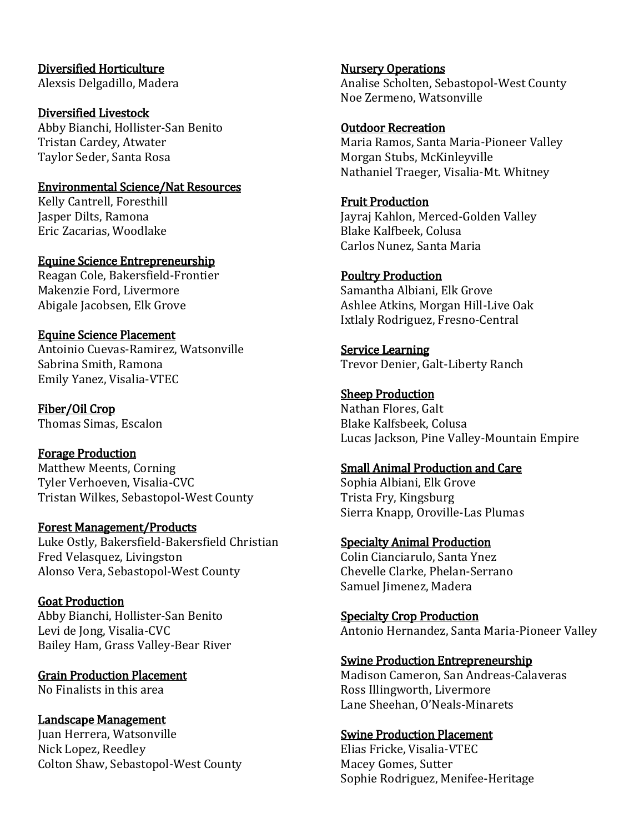#### Diversified Horticulture Alexsis Delgadillo, Madera

Diversified Livestock Abby Bianchi, Hollister-San Benito Tristan Cardey, Atwater Taylor Seder, Santa Rosa

### Environmental Science/Nat Resources

Kelly Cantrell, Foresthill Jasper Dilts, Ramona Eric Zacarias, Woodlake

Equine Science Entrepreneurship Reagan Cole, Bakersfield-Frontier Makenzie Ford, Livermore Abigale Jacobsen, Elk Grove

# Equine Science Placement

Antoinio Cuevas-Ramirez, Watsonville Sabrina Smith, Ramona Emily Yanez, Visalia-VTEC

Fiber/Oil Crop Thomas Simas, Escalon

Forage Production Matthew Meents, Corning Tyler Verhoeven, Visalia-CVC Tristan Wilkes, Sebastopol-West County

#### Forest Management/Products

Luke Ostly, Bakersfield-Bakersfield Christian Fred Velasquez, Livingston Alonso Vera, Sebastopol-West County

# Goat Production

Abby Bianchi, Hollister-San Benito Levi de Jong, Visalia-CVC Bailey Ham, Grass Valley-Bear River

Grain Production Placement No Finalists in this area

Landscape Management Juan Herrera, Watsonville Nick Lopez, Reedley Colton Shaw, Sebastopol-West County Nursery Operations Analise Scholten, Sebastopol-West County Noe Zermeno, Watsonville

### Outdoor Recreation

Maria Ramos, Santa Maria-Pioneer Valley Morgan Stubs, McKinleyville Nathaniel Traeger, Visalia-Mt. Whitney

Fruit Production Jayraj Kahlon, Merced-Golden Valley Blake Kalfbeek, Colusa Carlos Nunez, Santa Maria

#### Poultry Production

Samantha Albiani, Elk Grove Ashlee Atkins, Morgan Hill-Live Oak Ixtlaly Rodriguez, Fresno-Central

Service Learning Trevor Denier, Galt-Liberty Ranch

Sheep Production

Nathan Flores, Galt Blake Kalfsbeek, Colusa Lucas Jackson, Pine Valley-Mountain Empire

#### Small Animal Production and Care

Sophia Albiani, Elk Grove Trista Fry, Kingsburg Sierra Knapp, Oroville-Las Plumas

Specialty Animal Production

Colin Cianciarulo, Santa Ynez Chevelle Clarke, Phelan-Serrano Samuel Jimenez, Madera

Specialty Crop Production Antonio Hernandez, Santa Maria-Pioneer Valley

# Swine Production Entrepreneurship

Madison Cameron, San Andreas-Calaveras Ross Illingworth, Livermore Lane Sheehan, O'Neals-Minarets

# Swine Production Placement

Elias Fricke, Visalia-VTEC Macey Gomes, Sutter Sophie Rodriguez, Menifee-Heritage